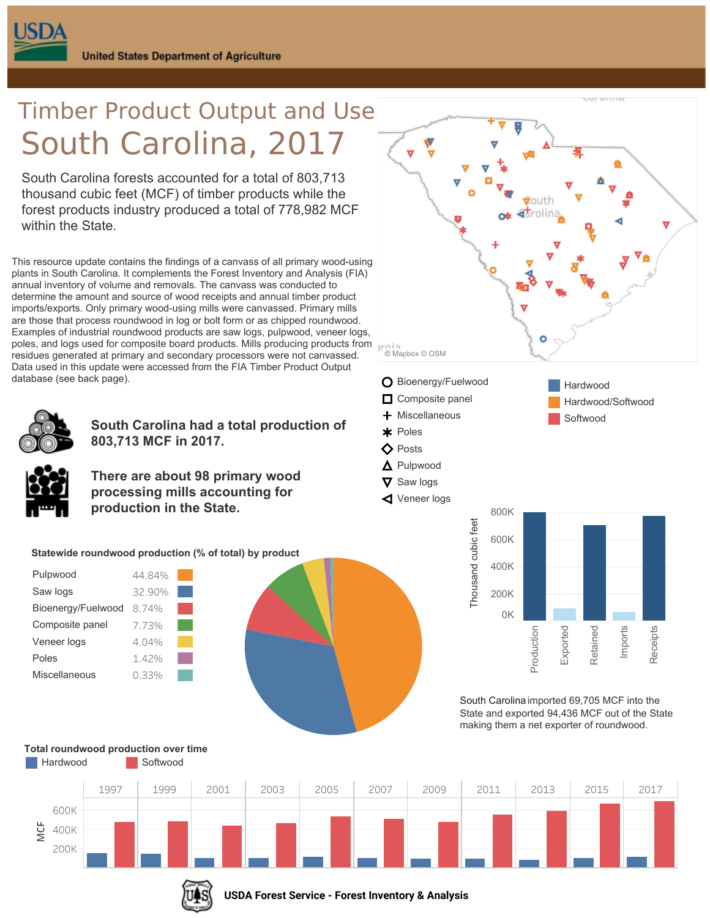# South Carolina, 2017 Timber Product Output and Use

South Carolina forests accounted for a total of 803,713 thousand cubic feet (MCF) of timber products while the forest products industry produced a total of 778,982 MCF within the State.

This resource update contains the findings of a canvass of all primary wood-using plants in South Carolina. It complements the Forest Inventory and Analysis (FIA) annual inventory of volume and removals. The canvass was conducted to determine the amount and source of wood receipts and annual timber product imports/exports. Only primary wood-using mills were canvassed. Primary mills are those that process roundwood in log or bolt form or as chipped roundwood. Examples of industrial roundwood products are saw logs, pulpwood, veneer logs, poles, and logs used for composite board products. Mills producing products from residues generated at primary and secondary processors were not canvassed. Data used in this update were accessed from the FIA Timber Product Output database (see back page).



**803,713 MCF in 2017.**

**There are about 98 primary wood processing mills accounting for production in the State.**

**Statewide roundwood production (% of total) by product**







**Total roundwood production over time** Hardwood **Softwood**